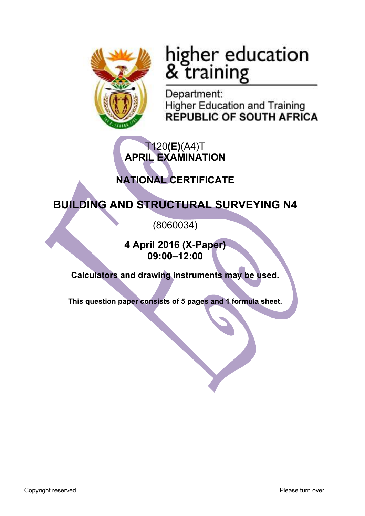

# higher education<br>& training

Department: **Higher Education and Training REPUBLIC OF SOUTH AFRICA** 

## T120**(E)**(A4)T **APRIL EXAMINATION**

# **NATIONAL CERTIFICATE**

# **BUILDING AND STRUCTURAL SURVEYING N4**

(8060034)

**4 April 2016 (X-Paper) 09:00–12:00**

**Calculators and drawing instruments may be used.**

**This question paper consists of 5 pages and 1 formula sheet.**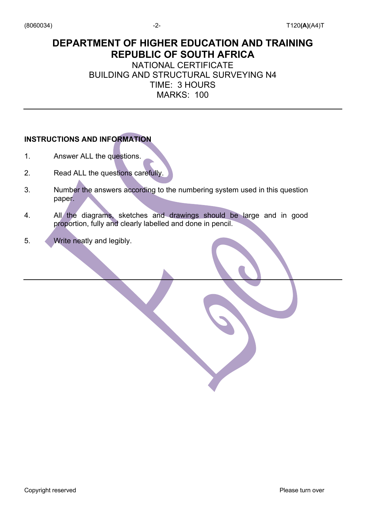## **DEPARTMENT OF HIGHER EDUCATION AND TRAINING REPUBLIC OF SOUTH AFRICA**

## NATIONAL CERTIFICATE BUILDING AND STRUCTURAL SURVEYING N4 TIME: 3 HOURS MARKS: 100

#### **INSTRUCTIONS AND INFORMATION**

- 1. Answer ALL the questions.
- 2. Read ALL the questions carefully.
- 3. Number the answers according to the numbering system used in this question paper.
- 4. All the diagrams, sketches and drawings should be large and in good proportion, fully and clearly labelled and done in pencil.
- 5. Write neatly and legibly.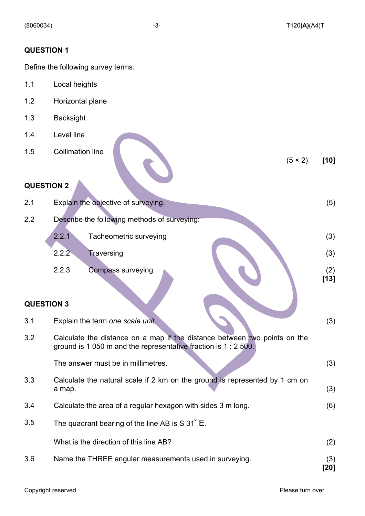(5 × 2) **[10]**

#### **QUESTION 1**

Define the following survey terms:

- 1.1 Local heights
- 1.2 Horizontal plane
- 1.3 Backsight
- 1.4 Level line
- 1.5 Collimation line

#### **QUESTION 2**

| 2.1               |       | Explain the objective of surveying.          | (5)           |
|-------------------|-------|----------------------------------------------|---------------|
| 2.2               |       | Describe the following methods of surveying: |               |
|                   | 2.2.1 | Tacheometric surveying                       | (3)           |
|                   | 2.2.2 | Traversing                                   | (3)           |
|                   | 2.2.3 | Compass surveying                            | (2)<br>$[13]$ |
| <b>QUESTION 3</b> |       |                                              |               |

# 3.1 Explain the term *one scale unit*. (3) 3.2 Calculate the distance on a map if the distance between two points on the ground is 1 050 m and the representative fraction is 1 : 2 500. The answer must be in millimetres. (3) 3.3 Calculate the natural scale if 2 km on the ground is represented by 1 cm on  $a$  map.  $(3)$ 3.4 Calculate the area of a regular hexagon with sides 3 m long. (6) 3.5 The quadrant bearing of the line AB is  $S$  31 $\degree$  E. What is the direction of this line AB? (2)

3.6 Name the THREE angular measurements used in surveying. (3) **[20]**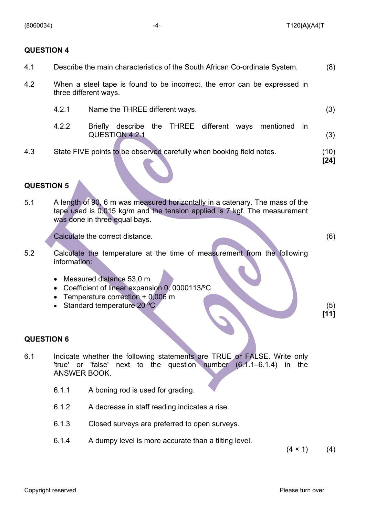(8060034) -4- T120**(A)**(A4)T

#### **QUESTION 4**

| Describe the main characteristics of the South African Co-ordinate System.<br>4.1 |
|-----------------------------------------------------------------------------------|
|-----------------------------------------------------------------------------------|

- 4.2 When a steel tape is found to be incorrect, the error can be expressed in three different ways.
	- 4.2.1 Name the THREE different ways. (3)
	- 4.2.2 Briefly describe the THREE different ways mentioned in QUESTION 4.2.1 (3)
- 4.3 State FIVE points to be observed carefully when booking field notes. (10)

**[24]**

#### **QUESTION 5**

5.1 A length of 90, 6 m was measured horizontally in a catenary. The mass of the tape used is 0,015 kg/m and the tension applied is 7 kgf. The measurement was done in three equal bays.

Calculate the correct distance. (6)

**[11]**

- 5.2 Calculate the temperature at the time of measurement from the following information:
	- Measured distance 53.0 m
	- Coefficient of linear expansion 0, 0000113/ºC
	- Temperature correction + 0,006 m
	- Standard temperature 20 °C (5)

#### **QUESTION 6**

- 6.1 Indicate whether the following statements are TRUE or FALSE. Write only 'true' or 'false' next to the question number (6.1.1–6.1.4) in the ANSWER BOOK.
	- 6.1.1 A boning rod is used for grading.
	- 6.1.2 A decrease in staff reading indicates a rise.
	- 6.1.3 Closed surveys are preferred to open surveys.
	- 6.1.4 A dumpy level is more accurate than a tilting level.

 $(4 \times 1)$  (4)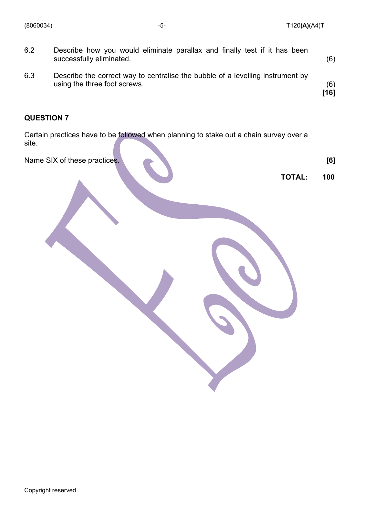(8060034) -5- T120**(A)**(A4)T

| 6.3 | Describe the correct way to centralise the bubble of a levelling instrument by<br>using the three foot screws. | (6)<br>[16] |
|-----|----------------------------------------------------------------------------------------------------------------|-------------|
| 6.2 | Describe how you would eliminate parallax and finally test if it has been<br>successfully eliminated.          | (6)         |

### **QUESTION 7**

Certain practices have to be followed when planning to stake out a chain survey over a site.

Name SIX of these practices. **[6]** 

**TOTAL: 100**